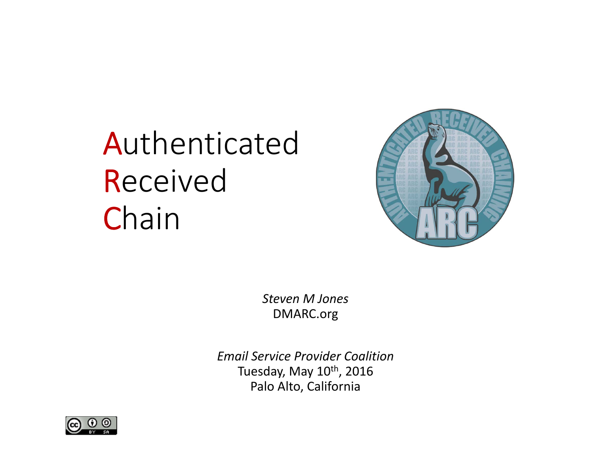# Authenticated **Received Chain**



*Steven M Jones* DMARC.org

*Email Service Provider Coalition*Tuesday, May 10<sup>th</sup>, 2016 Palo Alto, California

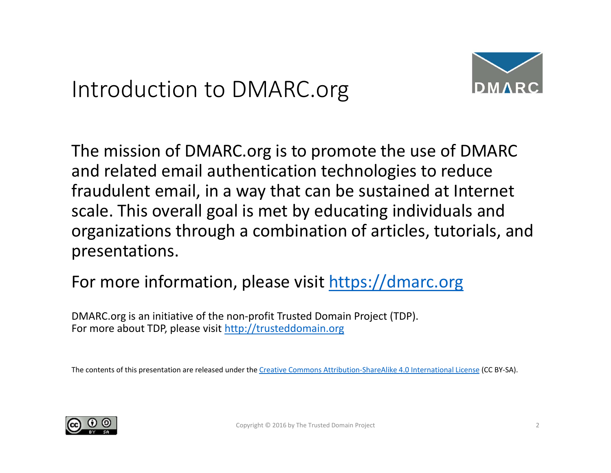#### Introduction to DMARC.org



The mission of DMARC.org is to promote the use of DMARC and related email authentication technologies to reduce fraudulent email, in <sup>a</sup> way that can be sustained at Internet scale. This overall goal is met by educating individuals and organizations through <sup>a</sup> combination of articles, tutorials, and presentations.

#### For more information, please visit https://dmarc.org

DMARC.org is an initiative of the non‐profit Trusted Domain Project (TDP). For more about TDP, please visit http://trusteddomain.org

The contents of this presentation are released under the Creative Commons Attribution–ShareAlike 4.0 International License (CC BY–SA).

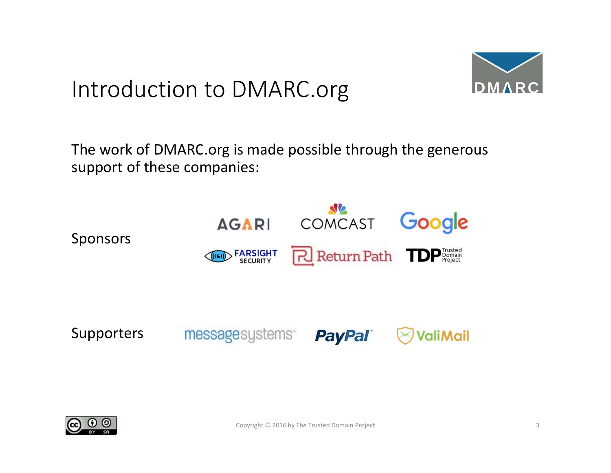#### Introduction to DMARC.org



The work of DMARC.org is made possible through the generous support of these companies:



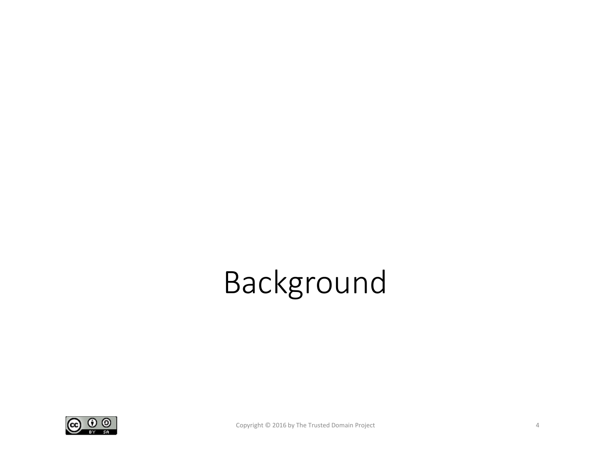# Background

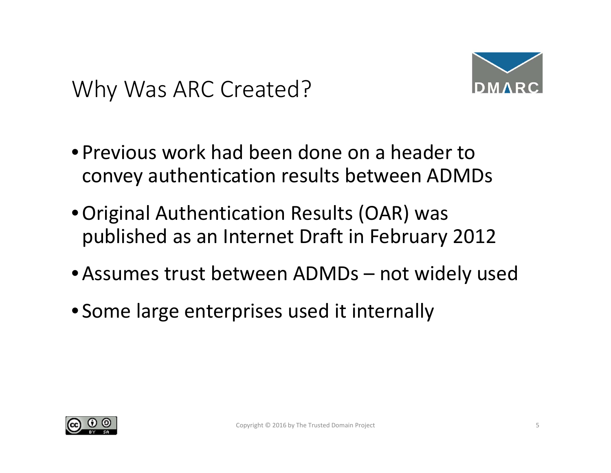#### Why Was ARC Created?



- Previous work had been done on <sup>a</sup> header toconvey authentication results between ADMDs
- •Original Authentication Results (OAR) was published as an Internet Draft in February 2012
- •Assumes trust between ADMDs not widely used
- Some large enterprises used it internally

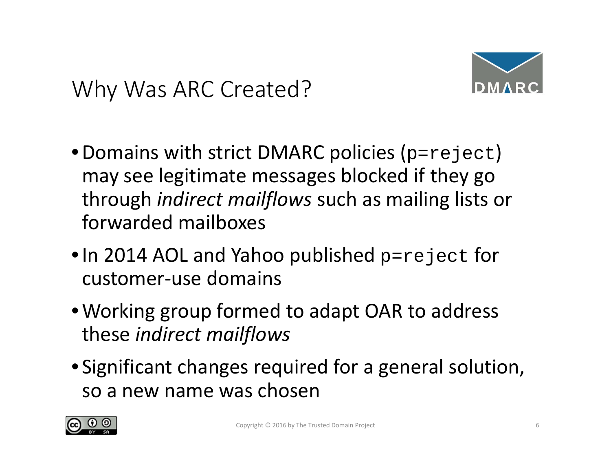#### Why Was ARC Created?



- $\bullet$  Domains with strict DMARC policies (p= $\texttt{reject}$ ) may see legitimate messages blocked if they go through *indirect mailflows* such as mailing lists or forwarded mailboxes
- $\bullet$  In 2014 AOL and Yahoo published  $\texttt{p=reject}$  for customer‐use domains
- •Working group formed to adapt OAR to address these *indirect mailflows*
- Significant changes required for <sup>a</sup> general solution, so a new name was chosen

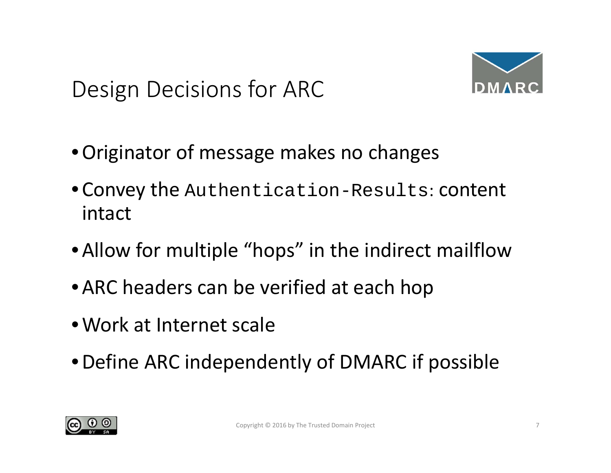### Design Decisions for ARC



- •Originator of message makes no changes
- •Convey the Authentication-Results: content intact
- •Allow for multiple "hops" in the indirect mailflow
- •ARC headers can be verified at each hop
- •Work at Internet scale
- •Define ARC independently of DMARC if possible

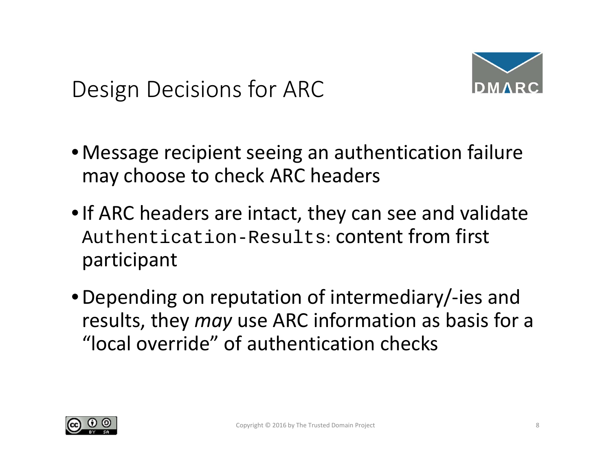### Design Decisions for ARC



- •Message recipient seeing an authentication failure may choose to check ARC headers
- •If ARC headers are intact, they can see and validate Authentication-Results: content from first participant
- •Depending on reputation of intermediary/‐ies and results, they *may* use ARC information as basis for <sup>a</sup> "local override" of authentication checks

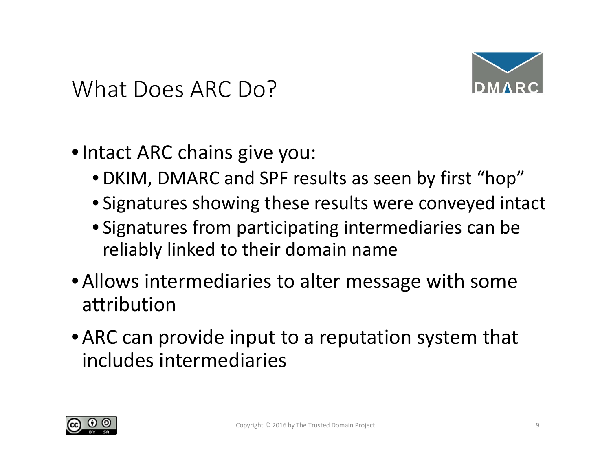



- •Intact ARC chains give you:
	- DKIM, DMARC and SPF results as seen by first "hop"
	- Signatures showing these results were conveyed intact
	- Signatures from participating intermediaries can be reliably linked to their domain name
- •Allows intermediaries to alter message with some attribution
- •ARC can provide input to <sup>a</sup> reputation system that includes intermediaries

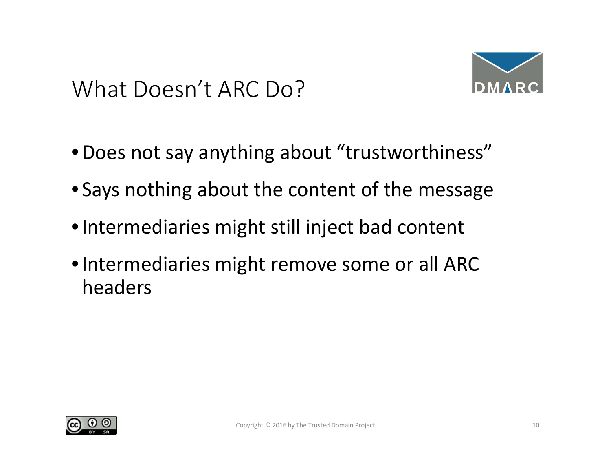#### What Doesn't ARC Do?



- •Does not say anything about "trustworthiness"
- Says nothing about the content of the message
- •Intermediaries might still inject bad content
- •Intermediaries might remove some or all ARC headers

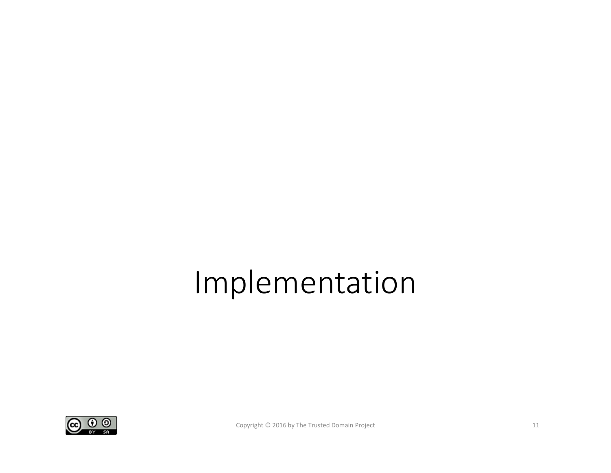## Implementation

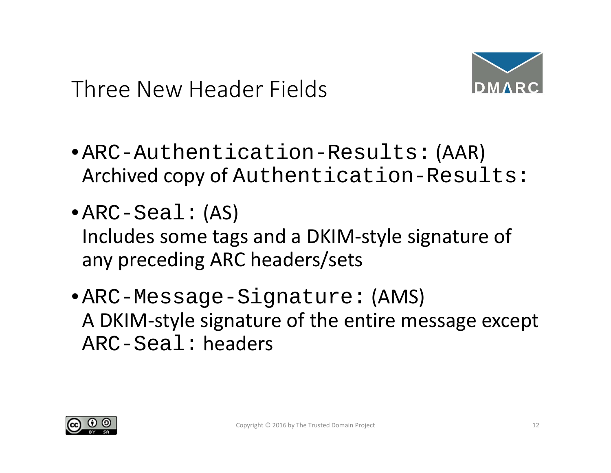



- •ARC-Authentication-Results: (AAR) Archived copy of Authentication-Results:
- •ARC-Seal: (AS) Includes some tags and <sup>a</sup> DKIM‐style signature of any preceding ARC headers/sets
- •ARC-Message-Signature: (AMS) A DKIM‐style signature of the entire message except ARC-Seal: headers

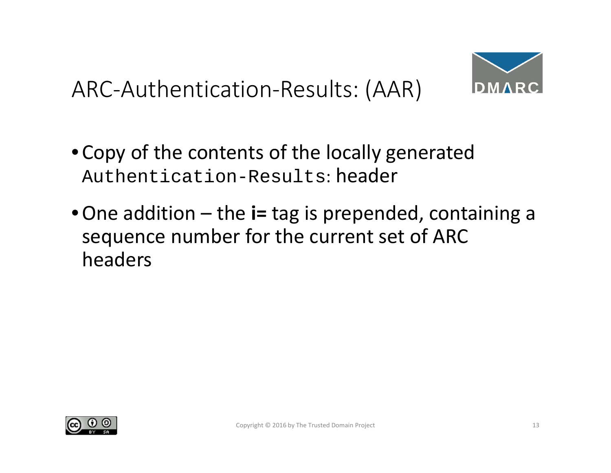### ARC‐Authentication‐Results: (AAR)



- •Copy of the contents of the locally generated Authentication-Results: header
- •One addition the **i=** tag is prepended, containing <sup>a</sup> sequence number for the current set of ARC headers

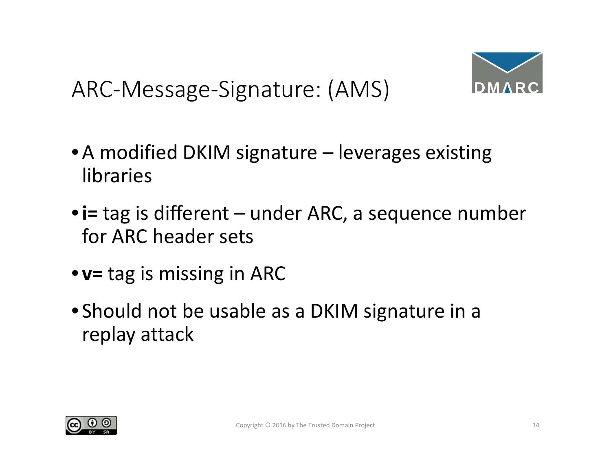ARC‐Message‐Signature: (AMS)



- •A modified DKIM signature leverages existing libraries
- •**i=** tag is different under ARC, <sup>a</sup> sequence number for ARC header sets
- **v=** tag is missing in ARC
- Should not be usable as <sup>a</sup> DKIM signature in <sup>a</sup> replay attack

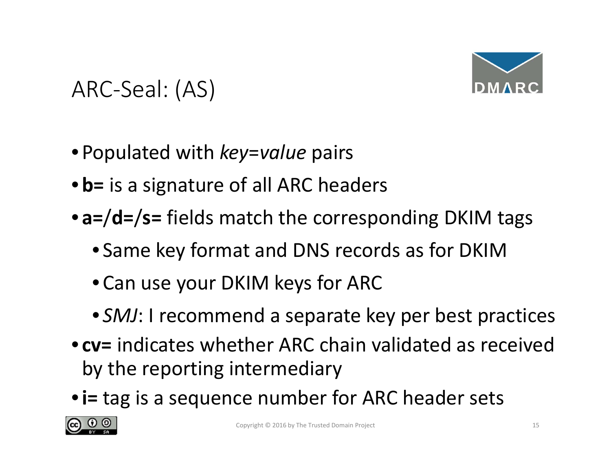

### ARC‐Seal: (AS)

- Populated with *key*=*value* pairs
- •**b=** is <sup>a</sup> signature of all ARC headers
- **a=**/**d=**/**s=** fields match the corresponding DKIM tags
	- Same key format and DNS records as for DKIM
	- •Can use your DKIM keys for ARC
	- *SMJ*: I recommend <sup>a</sup> separate key per best practices
- **cv=** indicates whether ARC chain validated as received by the reporting intermediary
- •**i=** tag is <sup>a</sup> sequence number for ARC header sets

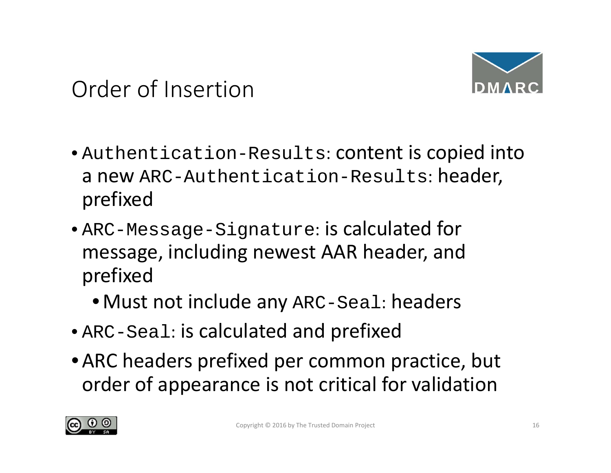



- Authentication-Results: content is copied into a new ARC-Authentication-Results: header, prefixed
- ARC-Message-Signature: is calculated for message, including newest AAR header, and prefixed
	- •Must not include any ARC-Seal: headers
- ARC-Seal: is calculated and prefixed
- •ARC headers prefixed per common practice, but order of appearance is not critical for validation

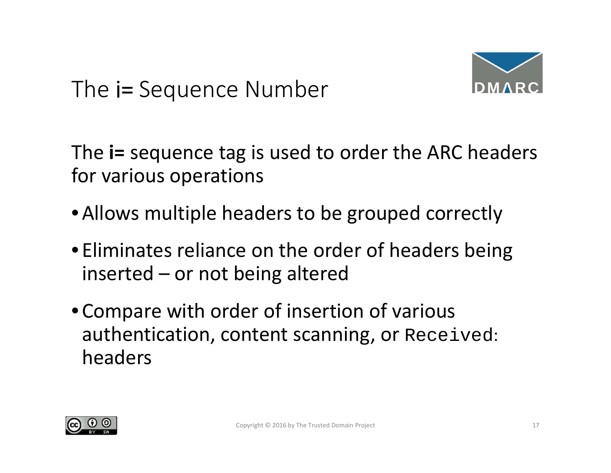### The i= Sequence Number



The **i=** sequence tag is used to order the ARC headers for various operations

- •Allows multiple headers to be grouped correctly
- Eliminates reliance on the order of headers being inserted – or not being altered
- •Compare with order of insertion of various authentication, content scanning, or Received: headers

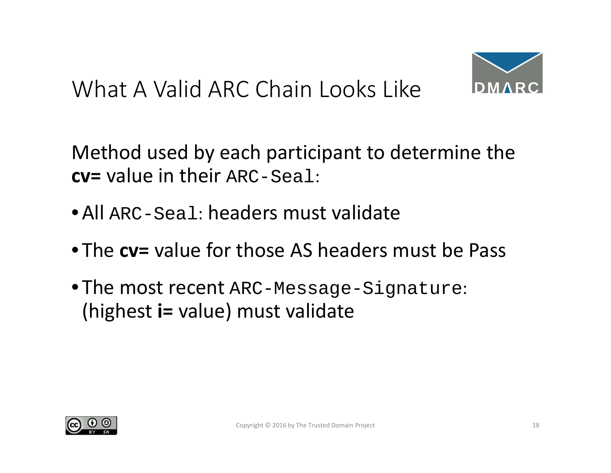#### What A Valid ARC Chain Looks Like



Method used by each participant to determine the **cv=** value in their ARC-Seal:

- •All ARC-Seal: headers must validate
- The **cv=** value for those AS headers must be Pass
- The most recent ARC-Message-Signature: (highest **i=** value) must validate

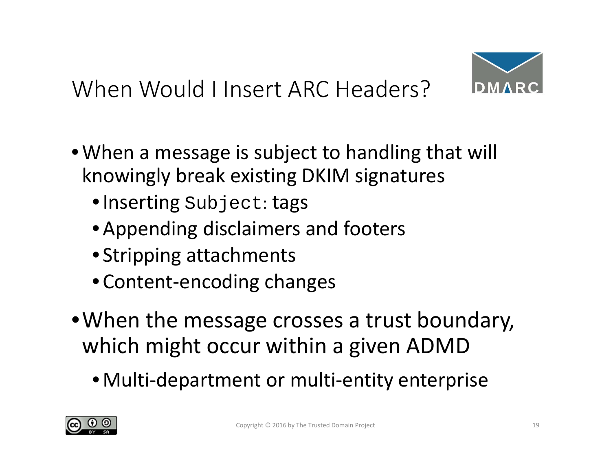### When Would I Insert ARC Headers?



- •When <sup>a</sup> message is subject to handling that will knowingly break existing DKIM signatures
	- •Inserting Subject: tags
	- •Appending disclaimers and footers
	- Stripping attachments
	- •Content‐encoding changes
- •When the message crosses <sup>a</sup> trust boundary, which might occur within <sup>a</sup> given ADMD
	- •Multi‐department or multi‐entity enterprise

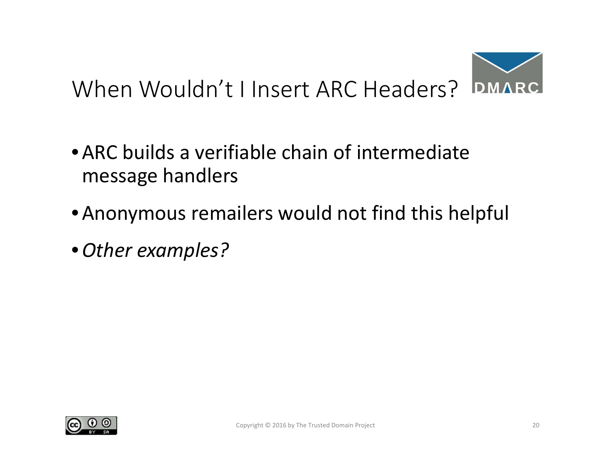

- •ARC builds <sup>a</sup> verifiable chain of intermediate message handlers
- •Anonymous remailers would not find this helpful
- •*Other examples?*

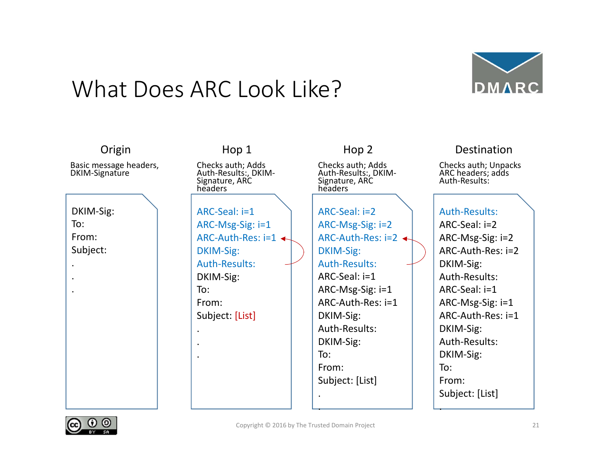#### What Does ARC Look Like?



| Origin                                   | Hop 1                                                                  | Hop 2                                                                  | Destination                                                |
|------------------------------------------|------------------------------------------------------------------------|------------------------------------------------------------------------|------------------------------------------------------------|
| Basic message headers,<br>DKIM-Signature | Checks auth; Adds<br>Auth-Results:, DKIM-<br>Signature, ARC<br>headers | Checks auth; Adds<br>Auth-Results:, DKIM-<br>Signature, ARC<br>headers | Checks auth; Unpacks<br>ARC headers; adds<br>Auth-Results: |
|                                          |                                                                        |                                                                        |                                                            |
| DKIM-Sig:                                | ARC-Seal: i=1                                                          | ARC-Seal: i=2                                                          | Auth-Results:                                              |
| To:                                      | ARC-Msg-Sig: $i=1$                                                     | ARC-Msg-Sig: $i=2$                                                     | $ARC-Seal: i=2$                                            |
| From:                                    | ARC-Auth-Res: $i=1$ $\leftarrow$                                       | ARC-Auth-Res: $i=2$                                                    | ARC-Msg-Sig: i=2                                           |
| Subject:                                 | DKIM-Sig:                                                              | DKIM-Sig:                                                              | ARC-Auth-Res: i=2                                          |
|                                          | Auth-Results:                                                          | <b>Auth-Results:</b>                                                   | DKIM-Sig:                                                  |
|                                          | DKIM-Sig:                                                              | ARC-Seal: i=1                                                          | Auth-Results:                                              |
|                                          | To:                                                                    | ARC-Msg-Sig: $i=1$                                                     | ARC-Seal: i=1                                              |
|                                          | From:                                                                  | ARC-Auth-Res: i=1                                                      | ARC-Msg-Sig: i=1                                           |
|                                          | Subject: [List]                                                        | DKIM-Sig:                                                              | ARC-Auth-Res: i=1                                          |
|                                          |                                                                        | Auth-Results:                                                          | DKIM-Sig:                                                  |
|                                          |                                                                        | DKIM-Sig:                                                              | Auth-Results:                                              |
|                                          |                                                                        | To:                                                                    | DKIM-Sig:                                                  |
|                                          |                                                                        | From:                                                                  | To:                                                        |
|                                          |                                                                        | Subject: [List]                                                        | From:                                                      |
|                                          |                                                                        |                                                                        | Subject: [List]                                            |
|                                          |                                                                        |                                                                        |                                                            |

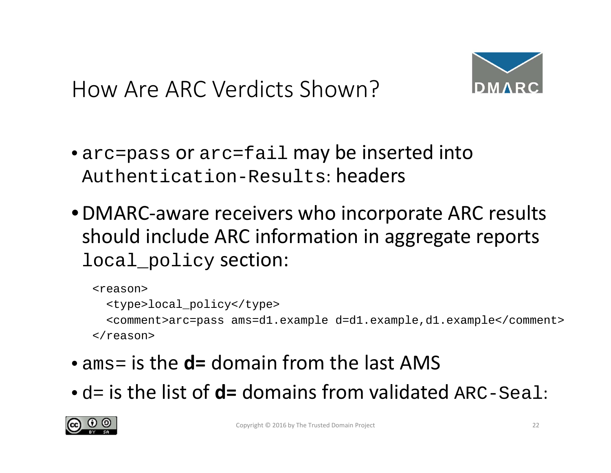



- arc=pass or arc=fail may be inserted into Authentication-Results: headers
- •DMARC‐aware receivers who incorporate ARC results should include ARC information in aggregate reports local\_policy section:

```
<reason><type>local_policy</type>
 <comment>arc=pass ams=d1.example d=d1.example,d1.example</comment>
</reason>
```
- ams= is the **d=** domain from the last AMS
- d= is the list of **d=** domains from validated ARC-Seal:

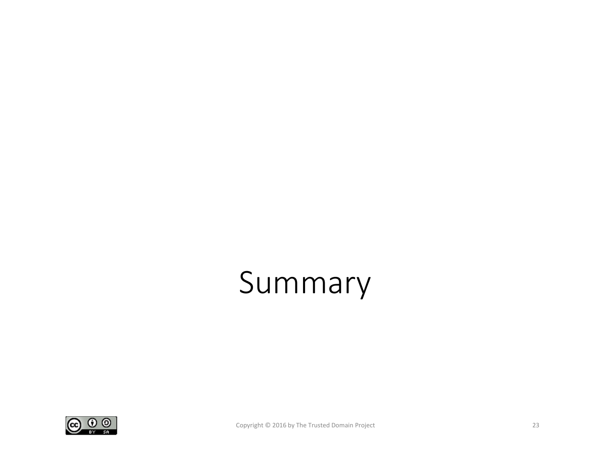## Summary

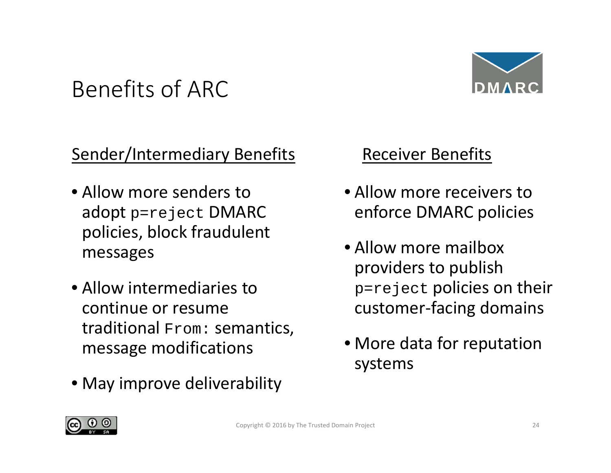### Benefits of ARC



#### **Sender/Intermediary Benefits**

- Allow more senders to adopt p=reject DMARC policies, block fraudulent messages
- Allow intermediaries to continue or resume  $\sf{traditional}$   $_{\tt From}:$  semantics, message modifications
- May improve deliverability

#### Receiver Benefits

- Allow more receivers to enforce DMARC policies
- Allow more mailbox providers to publish p=reject policies on their customer‐facing domains
- More data for reputation systems

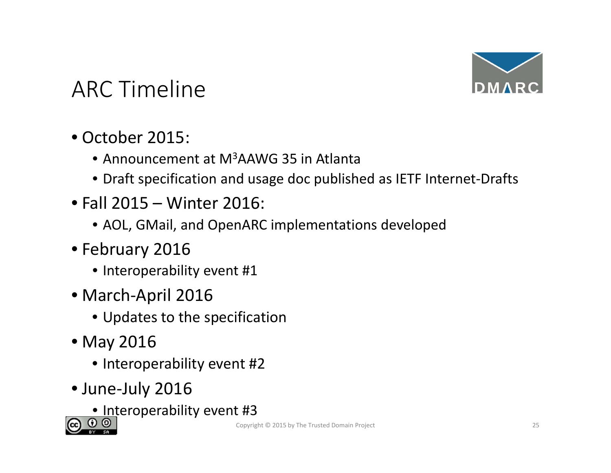

### ARC Timeline

- October 2015:
	- Announcement at M<sup>3</sup>AAWG 35 in Atlanta
	- Draft specification and usage doc published as IETF Internet‐Drafts
- Fall 2015 Winter 2016:
	- AOL, GMail, and OpenARC implementations developed
- February 2016
	- Interoperability event #1
- March‐April 2016
	- Updates to the specification
- May 2016
	- Interoperability event #2
- June‐July 2016
	- <u>• In</u>teroperability event #3

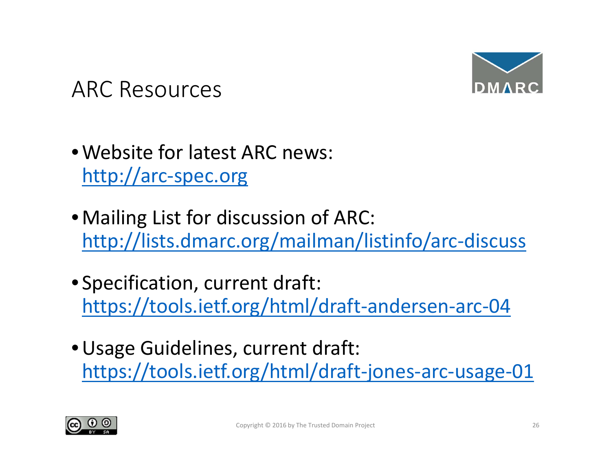

#### ARC Resources

- •Website for latest ARC news: http://arc‐spec.org
- •Mailing List for discussion of ARC: http://lists.dmarc.org/mailman/listinfo/arc‐discuss
- Specification, current draft: https://tools.ietf.org/html/draft‐andersen‐arc‐04
- •Usage Guidelines, current draft: https://tools.ietf.org/html/draft‐jones‐arc‐usage‐01